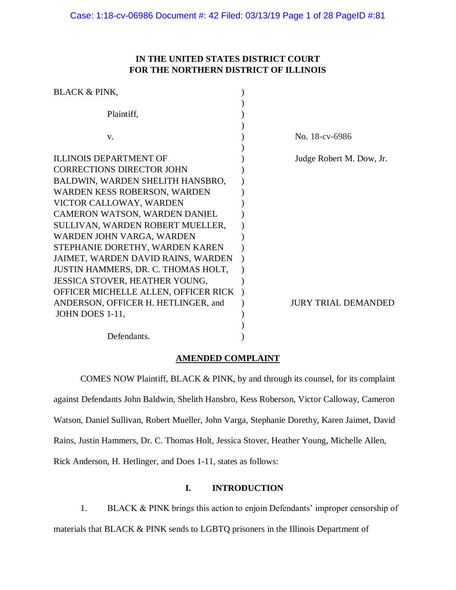# **IN THE UNITED STATES DISTRICT COURT FOR THE NORTHERN DISTRICT OF ILLINOIS**

| <b>BLACK &amp; PINK,</b>             |                            |
|--------------------------------------|----------------------------|
|                                      |                            |
| Plaintiff,                           |                            |
|                                      |                            |
| V.                                   | No. 18-cv-6986             |
|                                      |                            |
| <b>ILLINOIS DEPARTMENT OF</b>        | Judge Robert M. Dow, Jr.   |
| <b>CORRECTIONS DIRECTOR JOHN</b>     |                            |
| BALDWIN, WARDEN SHELITH HANSBRO,     |                            |
| WARDEN KESS ROBERSON, WARDEN         |                            |
| VICTOR CALLOWAY, WARDEN              |                            |
| CAMERON WATSON, WARDEN DANIEL        |                            |
| SULLIVAN, WARDEN ROBERT MUELLER,     |                            |
| WARDEN JOHN VARGA, WARDEN            |                            |
| STEPHANIE DORETHY, WARDEN KAREN      |                            |
| JAIMET, WARDEN DAVID RAINS, WARDEN   |                            |
| JUSTIN HAMMERS, DR. C. THOMAS HOLT,  |                            |
| JESSICA STOVER, HEATHER YOUNG,       |                            |
| OFFICER MICHELLE ALLEN, OFFICER RICK |                            |
| ANDERSON, OFFICER H. HETLINGER, and  | <b>JURY TRIAL DEMANDED</b> |
| JOHN DOES 1-11,                      |                            |
|                                      |                            |
| Defendants.                          |                            |

# **AMENDED COMPLAINT**

COMES NOW Plaintiff, BLACK & PINK, by and through its counsel, for its complaint against Defendants John Baldwin, Shelith Hansbro, Kess Roberson, Victor Calloway, Cameron Watson, Daniel Sullivan, Robert Mueller, John Varga, Stephanie Dorethy, Karen Jaimet, David Rains, Justin Hammers, Dr. C. Thomas Holt, Jessica Stover, Heather Young, Michelle Allen, Rick Anderson, H. Hetlinger, and Does 1-11, states as follows:

# **I. INTRODUCTION**

1. BLACK & PINK brings this action to enjoin Defendants' improper censorship of materials that BLACK & PINK sends to LGBTQ prisoners in the Illinois Department of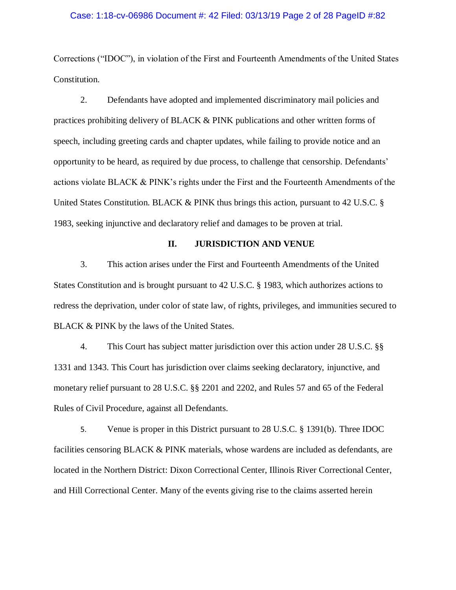#### Case: 1:18-cv-06986 Document #: 42 Filed: 03/13/19 Page 2 of 28 PageID #:82

Corrections ("IDOC"), in violation of the First and Fourteenth Amendments of the United States Constitution.

2. Defendants have adopted and implemented discriminatory mail policies and practices prohibiting delivery of BLACK & PINK publications and other written forms of speech, including greeting cards and chapter updates, while failing to provide notice and an opportunity to be heard, as required by due process, to challenge that censorship. Defendants' actions violate BLACK & PINK's rights under the First and the Fourteenth Amendments of the United States Constitution. BLACK & PINK thus brings this action, pursuant to 42 U.S.C. § 1983, seeking injunctive and declaratory relief and damages to be proven at trial.

## **II. JURISDICTION AND VENUE**

3. This action arises under the First and Fourteenth Amendments of the United States Constitution and is brought pursuant to 42 U.S.C. § 1983, which authorizes actions to redress the deprivation, under color of state law, of rights, privileges, and immunities secured to BLACK & PINK by the laws of the United States.

4. This Court has subject matter jurisdiction over this action under 28 U.S.C. §§ 1331 and 1343. This Court has jurisdiction over claims seeking declaratory, injunctive, and monetary relief pursuant to 28 U.S.C. §§ 2201 and 2202, and Rules 57 and 65 of the Federal Rules of Civil Procedure, against all Defendants.

5. Venue is proper in this District pursuant to 28 U.S.C. § 1391(b). Three IDOC facilities censoring BLACK & PINK materials, whose wardens are included as defendants, are located in the Northern District: Dixon Correctional Center, Illinois River Correctional Center, and Hill Correctional Center. Many of the events giving rise to the claims asserted herein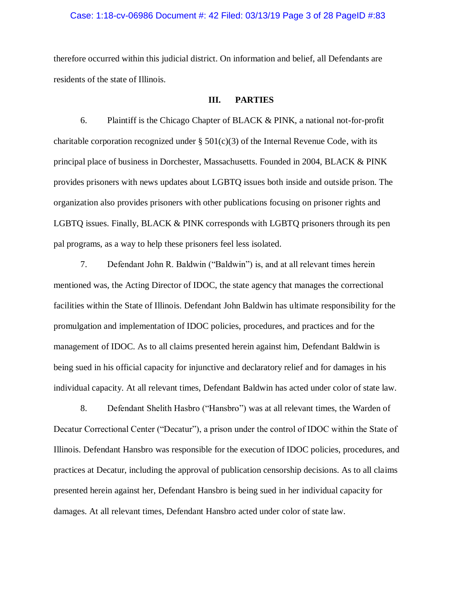## Case: 1:18-cv-06986 Document #: 42 Filed: 03/13/19 Page 3 of 28 PageID #:83

therefore occurred within this judicial district. On information and belief, all Defendants are residents of the state of Illinois.

## **III. PARTIES**

6. Plaintiff is the Chicago Chapter of BLACK & PINK, a national not-for-profit charitable corporation recognized under  $\S 501(c)(3)$  of the Internal Revenue Code, with its principal place of business in Dorchester, Massachusetts. Founded in 2004, BLACK & PINK provides prisoners with news updates about LGBTQ issues both inside and outside prison. The organization also provides prisoners with other publications focusing on prisoner rights and LGBTQ issues. Finally, BLACK & PINK corresponds with LGBTQ prisoners through its pen pal programs, as a way to help these prisoners feel less isolated.

7. Defendant John R. Baldwin ("Baldwin") is, and at all relevant times herein mentioned was, the Acting Director of IDOC, the state agency that manages the correctional facilities within the State of Illinois. Defendant John Baldwin has ultimate responsibility for the promulgation and implementation of IDOC policies, procedures, and practices and for the management of IDOC. As to all claims presented herein against him, Defendant Baldwin is being sued in his official capacity for injunctive and declaratory relief and for damages in his individual capacity. At all relevant times, Defendant Baldwin has acted under color of state law.

8. Defendant Shelith Hasbro ("Hansbro") was at all relevant times, the Warden of Decatur Correctional Center ("Decatur"), a prison under the control of IDOC within the State of Illinois. Defendant Hansbro was responsible for the execution of IDOC policies, procedures, and practices at Decatur, including the approval of publication censorship decisions. As to all claims presented herein against her, Defendant Hansbro is being sued in her individual capacity for damages. At all relevant times, Defendant Hansbro acted under color of state law.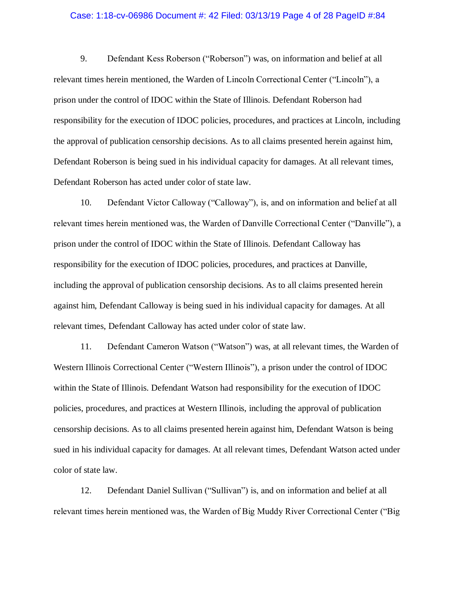#### Case: 1:18-cv-06986 Document #: 42 Filed: 03/13/19 Page 4 of 28 PageID #:84

9. Defendant Kess Roberson ("Roberson") was, on information and belief at all relevant times herein mentioned, the Warden of Lincoln Correctional Center ("Lincoln"), a prison under the control of IDOC within the State of Illinois. Defendant Roberson had responsibility for the execution of IDOC policies, procedures, and practices at Lincoln, including the approval of publication censorship decisions. As to all claims presented herein against him, Defendant Roberson is being sued in his individual capacity for damages. At all relevant times, Defendant Roberson has acted under color of state law.

10. Defendant Victor Calloway ("Calloway"), is, and on information and belief at all relevant times herein mentioned was, the Warden of Danville Correctional Center ("Danville"), a prison under the control of IDOC within the State of Illinois. Defendant Calloway has responsibility for the execution of IDOC policies, procedures, and practices at Danville, including the approval of publication censorship decisions. As to all claims presented herein against him, Defendant Calloway is being sued in his individual capacity for damages. At all relevant times, Defendant Calloway has acted under color of state law.

11. Defendant Cameron Watson ("Watson") was, at all relevant times, the Warden of Western Illinois Correctional Center ("Western Illinois"), a prison under the control of IDOC within the State of Illinois. Defendant Watson had responsibility for the execution of IDOC policies, procedures, and practices at Western Illinois, including the approval of publication censorship decisions. As to all claims presented herein against him, Defendant Watson is being sued in his individual capacity for damages. At all relevant times, Defendant Watson acted under color of state law.

12. Defendant Daniel Sullivan ("Sullivan") is, and on information and belief at all relevant times herein mentioned was, the Warden of Big Muddy River Correctional Center ("Big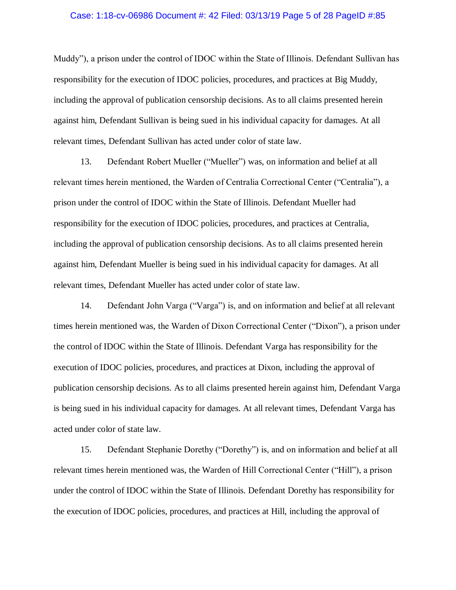#### Case: 1:18-cv-06986 Document #: 42 Filed: 03/13/19 Page 5 of 28 PageID #:85

Muddy"), a prison under the control of IDOC within the State of Illinois. Defendant Sullivan has responsibility for the execution of IDOC policies, procedures, and practices at Big Muddy, including the approval of publication censorship decisions. As to all claims presented herein against him, Defendant Sullivan is being sued in his individual capacity for damages. At all relevant times, Defendant Sullivan has acted under color of state law.

13. Defendant Robert Mueller ("Mueller") was, on information and belief at all relevant times herein mentioned, the Warden of Centralia Correctional Center ("Centralia"), a prison under the control of IDOC within the State of Illinois. Defendant Mueller had responsibility for the execution of IDOC policies, procedures, and practices at Centralia, including the approval of publication censorship decisions. As to all claims presented herein against him, Defendant Mueller is being sued in his individual capacity for damages. At all relevant times, Defendant Mueller has acted under color of state law.

14. Defendant John Varga ("Varga") is, and on information and belief at all relevant times herein mentioned was, the Warden of Dixon Correctional Center ("Dixon"), a prison under the control of IDOC within the State of Illinois. Defendant Varga has responsibility for the execution of IDOC policies, procedures, and practices at Dixon, including the approval of publication censorship decisions. As to all claims presented herein against him, Defendant Varga is being sued in his individual capacity for damages. At all relevant times, Defendant Varga has acted under color of state law.

15. Defendant Stephanie Dorethy ("Dorethy") is, and on information and belief at all relevant times herein mentioned was, the Warden of Hill Correctional Center ("Hill"), a prison under the control of IDOC within the State of Illinois. Defendant Dorethy has responsibility for the execution of IDOC policies, procedures, and practices at Hill, including the approval of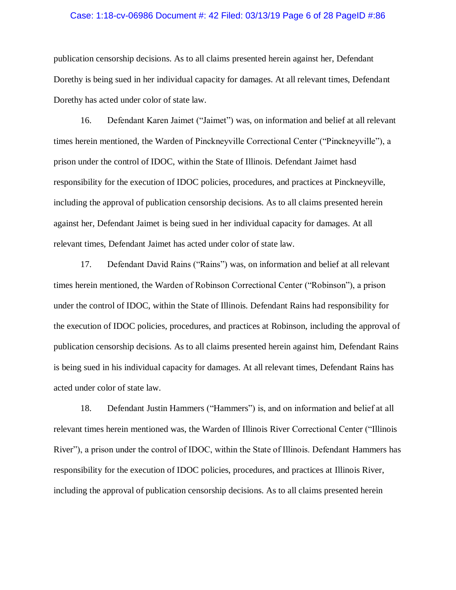#### Case: 1:18-cv-06986 Document #: 42 Filed: 03/13/19 Page 6 of 28 PageID #:86

publication censorship decisions. As to all claims presented herein against her, Defendant Dorethy is being sued in her individual capacity for damages. At all relevant times, Defendant Dorethy has acted under color of state law.

16. Defendant Karen Jaimet ("Jaimet") was, on information and belief at all relevant times herein mentioned, the Warden of Pinckneyville Correctional Center ("Pinckneyville"), a prison under the control of IDOC, within the State of Illinois. Defendant Jaimet hasd responsibility for the execution of IDOC policies, procedures, and practices at Pinckneyville, including the approval of publication censorship decisions. As to all claims presented herein against her, Defendant Jaimet is being sued in her individual capacity for damages. At all relevant times, Defendant Jaimet has acted under color of state law.

17. Defendant David Rains ("Rains") was, on information and belief at all relevant times herein mentioned, the Warden of Robinson Correctional Center ("Robinson"), a prison under the control of IDOC, within the State of Illinois. Defendant Rains had responsibility for the execution of IDOC policies, procedures, and practices at Robinson, including the approval of publication censorship decisions. As to all claims presented herein against him, Defendant Rains is being sued in his individual capacity for damages. At all relevant times, Defendant Rains has acted under color of state law.

18. Defendant Justin Hammers ("Hammers") is, and on information and belief at all relevant times herein mentioned was, the Warden of Illinois River Correctional Center ("Illinois River"), a prison under the control of IDOC, within the State of Illinois. Defendant Hammers has responsibility for the execution of IDOC policies, procedures, and practices at Illinois River, including the approval of publication censorship decisions. As to all claims presented herein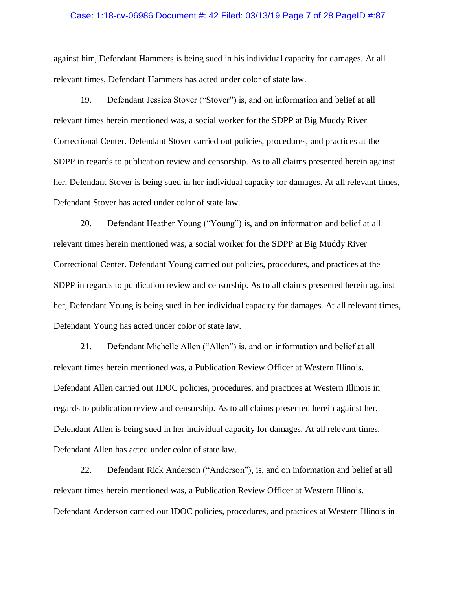#### Case: 1:18-cv-06986 Document #: 42 Filed: 03/13/19 Page 7 of 28 PageID #:87

against him, Defendant Hammers is being sued in his individual capacity for damages. At all relevant times, Defendant Hammers has acted under color of state law.

19. Defendant Jessica Stover ("Stover") is, and on information and belief at all relevant times herein mentioned was, a social worker for the SDPP at Big Muddy River Correctional Center. Defendant Stover carried out policies, procedures, and practices at the SDPP in regards to publication review and censorship. As to all claims presented herein against her, Defendant Stover is being sued in her individual capacity for damages. At all relevant times, Defendant Stover has acted under color of state law.

20. Defendant Heather Young ("Young") is, and on information and belief at all relevant times herein mentioned was, a social worker for the SDPP at Big Muddy River Correctional Center. Defendant Young carried out policies, procedures, and practices at the SDPP in regards to publication review and censorship. As to all claims presented herein against her, Defendant Young is being sued in her individual capacity for damages. At all relevant times, Defendant Young has acted under color of state law.

21. Defendant Michelle Allen ("Allen") is, and on information and belief at all relevant times herein mentioned was, a Publication Review Officer at Western Illinois. Defendant Allen carried out IDOC policies, procedures, and practices at Western Illinois in regards to publication review and censorship. As to all claims presented herein against her, Defendant Allen is being sued in her individual capacity for damages. At all relevant times, Defendant Allen has acted under color of state law.

22. Defendant Rick Anderson ("Anderson"), is, and on information and belief at all relevant times herein mentioned was, a Publication Review Officer at Western Illinois. Defendant Anderson carried out IDOC policies, procedures, and practices at Western Illinois in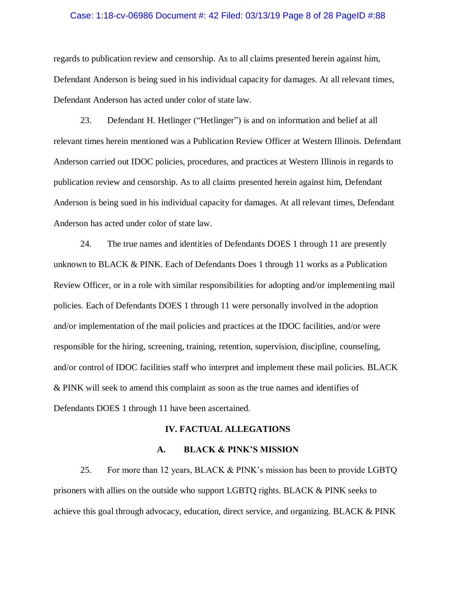#### Case: 1:18-cv-06986 Document #: 42 Filed: 03/13/19 Page 8 of 28 PageID #:88

regards to publication review and censorship. As to all claims presented herein against him, Defendant Anderson is being sued in his individual capacity for damages. At all relevant times, Defendant Anderson has acted under color of state law.

23. Defendant H. Hetlinger ("Hetlinger") is and on information and belief at all relevant times herein mentioned was a Publication Review Officer at Western Illinois. Defendant Anderson carried out IDOC policies, procedures, and practices at Western Illinois in regards to publication review and censorship. As to all claims presented herein against him, Defendant Anderson is being sued in his individual capacity for damages. At all relevant times, Defendant Anderson has acted under color of state law.

24. The true names and identities of Defendants DOES 1 through 11 are presently unknown to BLACK & PINK. Each of Defendants Does 1 through 11 works as a Publication Review Officer, or in a role with similar responsibilities for adopting and/or implementing mail policies. Each of Defendants DOES 1 through 11 were personally involved in the adoption and/or implementation of the mail policies and practices at the IDOC facilities, and/or were responsible for the hiring, screening, training, retention, supervision, discipline, counseling, and/or control of IDOC facilities staff who interpret and implement these mail policies. BLACK & PINK will seek to amend this complaint as soon as the true names and identifies of Defendants DOES 1 through 11 have been ascertained.

#### **IV. FACTUAL ALLEGATIONS**

## **A. BLACK & PINK'S MISSION**

25. For more than 12 years, BLACK & PINK's mission has been to provide LGBTQ prisoners with allies on the outside who support LGBTQ rights. BLACK & PINK seeks to achieve this goal through advocacy, education, direct service, and organizing. BLACK & PINK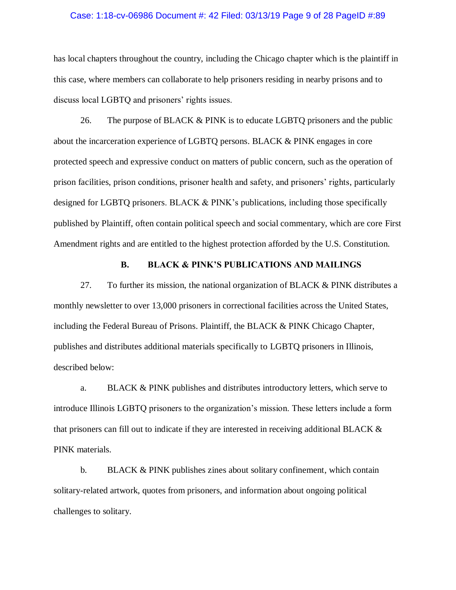#### Case: 1:18-cv-06986 Document #: 42 Filed: 03/13/19 Page 9 of 28 PageID #:89

has local chapters throughout the country, including the Chicago chapter which is the plaintiff in this case, where members can collaborate to help prisoners residing in nearby prisons and to discuss local LGBTQ and prisoners' rights issues.

26. The purpose of BLACK & PINK is to educate LGBTQ prisoners and the public about the incarceration experience of LGBTQ persons. BLACK & PINK engages in core protected speech and expressive conduct on matters of public concern, such as the operation of prison facilities, prison conditions, prisoner health and safety, and prisoners' rights, particularly designed for LGBTQ prisoners. BLACK & PINK's publications, including those specifically published by Plaintiff, often contain political speech and social commentary, which are core First Amendment rights and are entitled to the highest protection afforded by the U.S. Constitution.

## **B. BLACK & PINK'S PUBLICATIONS AND MAILINGS**

27. To further its mission, the national organization of BLACK & PINK distributes a monthly newsletter to over 13,000 prisoners in correctional facilities across the United States, including the Federal Bureau of Prisons. Plaintiff, the BLACK & PINK Chicago Chapter, publishes and distributes additional materials specifically to LGBTQ prisoners in Illinois, described below:

a. BLACK & PINK publishes and distributes introductory letters, which serve to introduce Illinois LGBTQ prisoners to the organization's mission. These letters include a form that prisoners can fill out to indicate if they are interested in receiving additional BLACK & PINK materials.

b. BLACK & PINK publishes zines about solitary confinement, which contain solitary-related artwork, quotes from prisoners, and information about ongoing political challenges to solitary.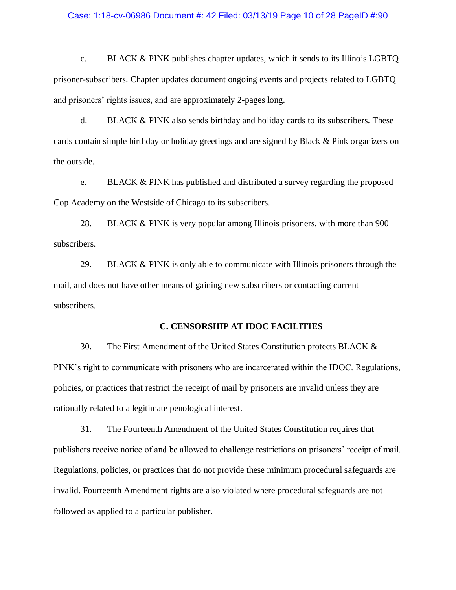#### Case: 1:18-cv-06986 Document #: 42 Filed: 03/13/19 Page 10 of 28 PageID #:90

c. BLACK & PINK publishes chapter updates, which it sends to its Illinois LGBTQ prisoner-subscribers. Chapter updates document ongoing events and projects related to LGBTQ and prisoners' rights issues, and are approximately 2-pages long.

d. BLACK  $&$  PINK also sends birthday and holiday cards to its subscribers. These cards contain simple birthday or holiday greetings and are signed by Black & Pink organizers on the outside.

e. BLACK & PINK has published and distributed a survey regarding the proposed Cop Academy on the Westside of Chicago to its subscribers.

28. BLACK & PINK is very popular among Illinois prisoners, with more than 900 subscribers.

29. BLACK & PINK is only able to communicate with Illinois prisoners through the mail, and does not have other means of gaining new subscribers or contacting current subscribers.

## **C. CENSORSHIP AT IDOC FACILITIES**

30. The First Amendment of the United States Constitution protects BLACK & PINK's right to communicate with prisoners who are incarcerated within the IDOC. Regulations, policies, or practices that restrict the receipt of mail by prisoners are invalid unless they are rationally related to a legitimate penological interest.

31. The Fourteenth Amendment of the United States Constitution requires that publishers receive notice of and be allowed to challenge restrictions on prisoners' receipt of mail. Regulations, policies, or practices that do not provide these minimum procedural safeguards are invalid. Fourteenth Amendment rights are also violated where procedural safeguards are not followed as applied to a particular publisher.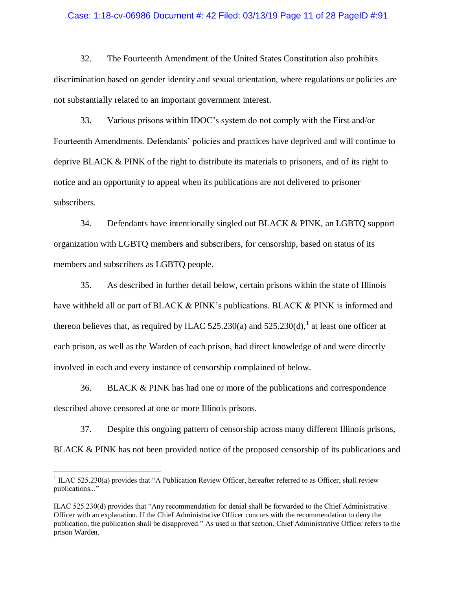### Case: 1:18-cv-06986 Document #: 42 Filed: 03/13/19 Page 11 of 28 PageID #:91

32. The Fourteenth Amendment of the United States Constitution also prohibits discrimination based on gender identity and sexual orientation, where regulations or policies are not substantially related to an important government interest.

33. Various prisons within IDOC's system do not comply with the First and/or Fourteenth Amendments. Defendants' policies and practices have deprived and will continue to deprive BLACK & PINK of the right to distribute its materials to prisoners, and of its right to notice and an opportunity to appeal when its publications are not delivered to prisoner subscribers.

34. Defendants have intentionally singled out BLACK & PINK, an LGBTQ support organization with LGBTQ members and subscribers, for censorship, based on status of its members and subscribers as LGBTQ people.

35. As described in further detail below, certain prisons within the state of Illinois have withheld all or part of BLACK & PINK's publications. BLACK & PINK is informed and thereon believes that, as required by ILAC 525.230(a) and 525.230(d),<sup>1</sup> at least one officer at each prison, as well as the Warden of each prison, had direct knowledge of and were directly involved in each and every instance of censorship complained of below.

36. BLACK & PINK has had one or more of the publications and correspondence described above censored at one or more Illinois prisons.

37. Despite this ongoing pattern of censorship across many different Illinois prisons,

BLACK & PINK has not been provided notice of the proposed censorship of its publications and

 $\overline{a}$ 

 $1$  ILAC 525.230(a) provides that "A Publication Review Officer, hereafter referred to as Officer, shall review publications..."

ILAC 525.230(d) provides that "Any recommendation for denial shall be forwarded to the Chief Administrative Officer with an explanation. If the Chief Administrative Officer concurs with the recommendation to deny the publication, the publication shall be disapproved." As used in that section, Chief Administrative Officer refers to the prison Warden.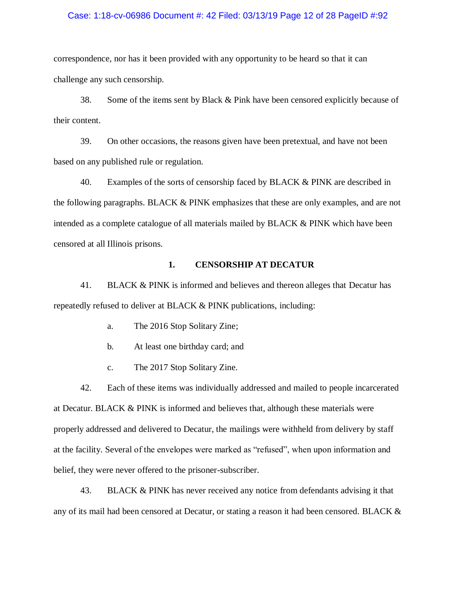#### Case: 1:18-cv-06986 Document #: 42 Filed: 03/13/19 Page 12 of 28 PageID #:92

correspondence, nor has it been provided with any opportunity to be heard so that it can challenge any such censorship.

38. Some of the items sent by Black & Pink have been censored explicitly because of their content.

39. On other occasions, the reasons given have been pretextual, and have not been based on any published rule or regulation.

40. Examples of the sorts of censorship faced by BLACK & PINK are described in the following paragraphs. BLACK & PINK emphasizes that these are only examples, and are not intended as a complete catalogue of all materials mailed by BLACK & PINK which have been censored at all Illinois prisons.

## **1. CENSORSHIP AT DECATUR**

41. BLACK & PINK is informed and believes and thereon alleges that Decatur has repeatedly refused to deliver at BLACK & PINK publications, including:

- a. The 2016 Stop Solitary Zine;
- b. At least one birthday card; and
- c. The 2017 Stop Solitary Zine.

42. Each of these items was individually addressed and mailed to people incarcerated at Decatur. BLACK & PINK is informed and believes that, although these materials were properly addressed and delivered to Decatur, the mailings were withheld from delivery by staff at the facility. Several of the envelopes were marked as "refused", when upon information and belief, they were never offered to the prisoner-subscriber.

43. BLACK & PINK has never received any notice from defendants advising it that any of its mail had been censored at Decatur, or stating a reason it had been censored. BLACK &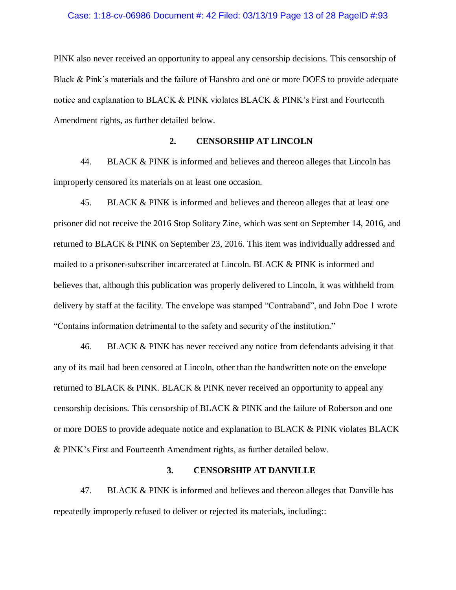#### Case: 1:18-cv-06986 Document #: 42 Filed: 03/13/19 Page 13 of 28 PageID #:93

PINK also never received an opportunity to appeal any censorship decisions. This censorship of Black & Pink's materials and the failure of Hansbro and one or more DOES to provide adequate notice and explanation to BLACK & PINK violates BLACK & PINK's First and Fourteenth Amendment rights, as further detailed below.

## **2. CENSORSHIP AT LINCOLN**

44. BLACK & PINK is informed and believes and thereon alleges that Lincoln has improperly censored its materials on at least one occasion.

45. BLACK & PINK is informed and believes and thereon alleges that at least one prisoner did not receive the 2016 Stop Solitary Zine, which was sent on September 14, 2016, and returned to BLACK & PINK on September 23, 2016. This item was individually addressed and mailed to a prisoner-subscriber incarcerated at Lincoln. BLACK & PINK is informed and believes that, although this publication was properly delivered to Lincoln, it was withheld from delivery by staff at the facility. The envelope was stamped "Contraband", and John Doe 1 wrote "Contains information detrimental to the safety and security of the institution."

46. BLACK & PINK has never received any notice from defendants advising it that any of its mail had been censored at Lincoln, other than the handwritten note on the envelope returned to BLACK & PINK. BLACK & PINK never received an opportunity to appeal any censorship decisions. This censorship of BLACK & PINK and the failure of Roberson and one or more DOES to provide adequate notice and explanation to BLACK & PINK violates BLACK & PINK's First and Fourteenth Amendment rights, as further detailed below.

## **3. CENSORSHIP AT DANVILLE**

47. BLACK & PINK is informed and believes and thereon alleges that Danville has repeatedly improperly refused to deliver or rejected its materials, including::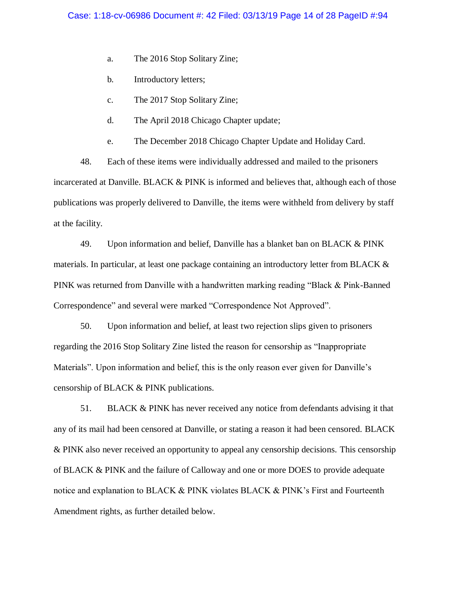- a. The 2016 Stop Solitary Zine;
- b. Introductory letters;
- c. The 2017 Stop Solitary Zine;
- d. The April 2018 Chicago Chapter update;
- e. The December 2018 Chicago Chapter Update and Holiday Card.

48. Each of these items were individually addressed and mailed to the prisoners incarcerated at Danville. BLACK & PINK is informed and believes that, although each of those publications was properly delivered to Danville, the items were withheld from delivery by staff at the facility.

49. Upon information and belief, Danville has a blanket ban on BLACK & PINK materials. In particular, at least one package containing an introductory letter from BLACK & PINK was returned from Danville with a handwritten marking reading "Black & Pink-Banned Correspondence" and several were marked "Correspondence Not Approved".

50. Upon information and belief, at least two rejection slips given to prisoners regarding the 2016 Stop Solitary Zine listed the reason for censorship as "Inappropriate Materials". Upon information and belief, this is the only reason ever given for Danville's censorship of BLACK & PINK publications.

51. BLACK & PINK has never received any notice from defendants advising it that any of its mail had been censored at Danville, or stating a reason it had been censored. BLACK & PINK also never received an opportunity to appeal any censorship decisions. This censorship of BLACK & PINK and the failure of Calloway and one or more DOES to provide adequate notice and explanation to BLACK & PINK violates BLACK & PINK's First and Fourteenth Amendment rights, as further detailed below.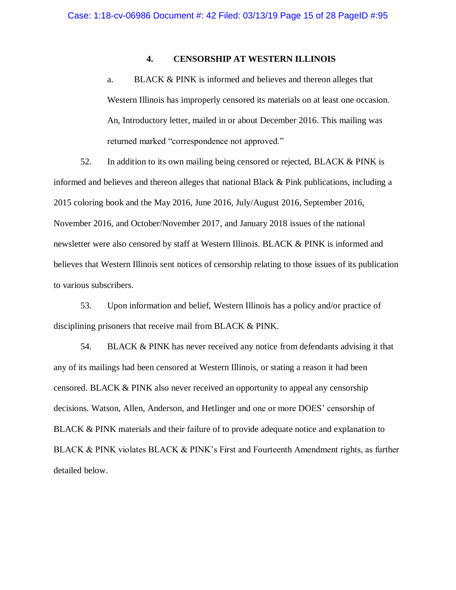## **4. CENSORSHIP AT WESTERN ILLINOIS**

a. BLACK & PINK is informed and believes and thereon alleges that Western Illinois has improperly censored its materials on at least one occasion. An, Introductory letter, mailed in or about December 2016. This mailing was returned marked "correspondence not approved."

52. In addition to its own mailing being censored or rejected, BLACK & PINK is informed and believes and thereon alleges that national Black & Pink publications, including a 2015 coloring book and the May 2016, June 2016, July/August 2016, September 2016, November 2016, and October/November 2017, and January 2018 issues of the national newsletter were also censored by staff at Western Illinois. BLACK & PINK is informed and believes that Western Illinois sent notices of censorship relating to those issues of its publication to various subscribers.

53. Upon information and belief, Western Illinois has a policy and/or practice of disciplining prisoners that receive mail from BLACK & PINK.

54. BLACK & PINK has never received any notice from defendants advising it that any of its mailings had been censored at Western Illinois, or stating a reason it had been censored. BLACK & PINK also never received an opportunity to appeal any censorship decisions. Watson, Allen, Anderson, and Hetlinger and one or more DOES' censorship of BLACK & PINK materials and their failure of to provide adequate notice and explanation to BLACK & PINK violates BLACK & PINK's First and Fourteenth Amendment rights, as further detailed below.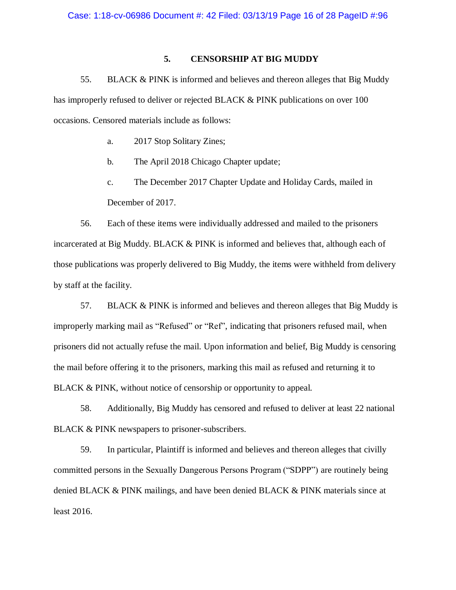# **5. CENSORSHIP AT BIG MUDDY**

55. BLACK & PINK is informed and believes and thereon alleges that Big Muddy has improperly refused to deliver or rejected BLACK & PINK publications on over 100 occasions. Censored materials include as follows:

- a. 2017 Stop Solitary Zines;
- b. The April 2018 Chicago Chapter update;
- c. The December 2017 Chapter Update and Holiday Cards, mailed in December of 2017.

56. Each of these items were individually addressed and mailed to the prisoners incarcerated at Big Muddy. BLACK & PINK is informed and believes that, although each of those publications was properly delivered to Big Muddy, the items were withheld from delivery by staff at the facility.

57. BLACK & PINK is informed and believes and thereon alleges that Big Muddy is improperly marking mail as "Refused" or "Ref", indicating that prisoners refused mail, when prisoners did not actually refuse the mail. Upon information and belief, Big Muddy is censoring the mail before offering it to the prisoners, marking this mail as refused and returning it to BLACK & PINK, without notice of censorship or opportunity to appeal.

58. Additionally, Big Muddy has censored and refused to deliver at least 22 national BLACK & PINK newspapers to prisoner-subscribers.

59. In particular, Plaintiff is informed and believes and thereon alleges that civilly committed persons in the Sexually Dangerous Persons Program ("SDPP") are routinely being denied BLACK & PINK mailings, and have been denied BLACK & PINK materials since at least 2016.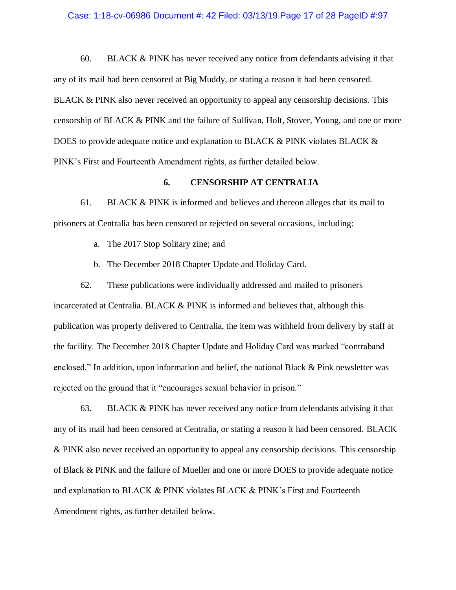#### Case: 1:18-cv-06986 Document #: 42 Filed: 03/13/19 Page 17 of 28 PageID #:97

60. BLACK & PINK has never received any notice from defendants advising it that any of its mail had been censored at Big Muddy, or stating a reason it had been censored. BLACK & PINK also never received an opportunity to appeal any censorship decisions. This censorship of BLACK & PINK and the failure of Sullivan, Holt, Stover, Young, and one or more DOES to provide adequate notice and explanation to BLACK & PINK violates BLACK & PINK's First and Fourteenth Amendment rights, as further detailed below.

## **6. CENSORSHIP AT CENTRALIA**

61. BLACK & PINK is informed and believes and thereon alleges that its mail to prisoners at Centralia has been censored or rejected on several occasions, including:

- a. The 2017 Stop Solitary zine; and
- b. The December 2018 Chapter Update and Holiday Card.

62. These publications were individually addressed and mailed to prisoners incarcerated at Centralia. BLACK & PINK is informed and believes that, although this publication was properly delivered to Centralia, the item was withheld from delivery by staff at the facility. The December 2018 Chapter Update and Holiday Card was marked "contraband enclosed." In addition, upon information and belief, the national Black  $\&$  Pink newsletter was rejected on the ground that it "encourages sexual behavior in prison."

63. BLACK & PINK has never received any notice from defendants advising it that any of its mail had been censored at Centralia, or stating a reason it had been censored. BLACK & PINK also never received an opportunity to appeal any censorship decisions. This censorship of Black & PINK and the failure of Mueller and one or more DOES to provide adequate notice and explanation to BLACK & PINK violates BLACK & PINK's First and Fourteenth Amendment rights, as further detailed below.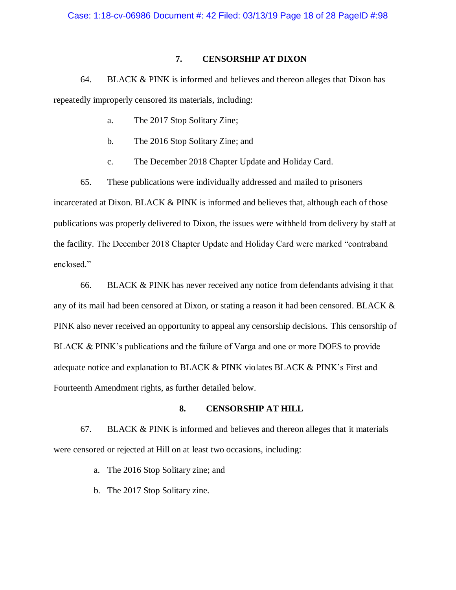# **7. CENSORSHIP AT DIXON**

64. BLACK & PINK is informed and believes and thereon alleges that Dixon has repeatedly improperly censored its materials, including:

- a. The 2017 Stop Solitary Zine;
- b. The 2016 Stop Solitary Zine; and
- c. The December 2018 Chapter Update and Holiday Card.

65. These publications were individually addressed and mailed to prisoners incarcerated at Dixon. BLACK & PINK is informed and believes that, although each of those publications was properly delivered to Dixon, the issues were withheld from delivery by staff at the facility. The December 2018 Chapter Update and Holiday Card were marked "contraband enclosed."

66. BLACK & PINK has never received any notice from defendants advising it that any of its mail had been censored at Dixon, or stating a reason it had been censored. BLACK & PINK also never received an opportunity to appeal any censorship decisions. This censorship of BLACK & PINK's publications and the failure of Varga and one or more DOES to provide adequate notice and explanation to BLACK & PINK violates BLACK & PINK's First and Fourteenth Amendment rights, as further detailed below.

## **8. CENSORSHIP AT HILL**

67. BLACK & PINK is informed and believes and thereon alleges that it materials were censored or rejected at Hill on at least two occasions, including:

- a. The 2016 Stop Solitary zine; and
- b. The 2017 Stop Solitary zine.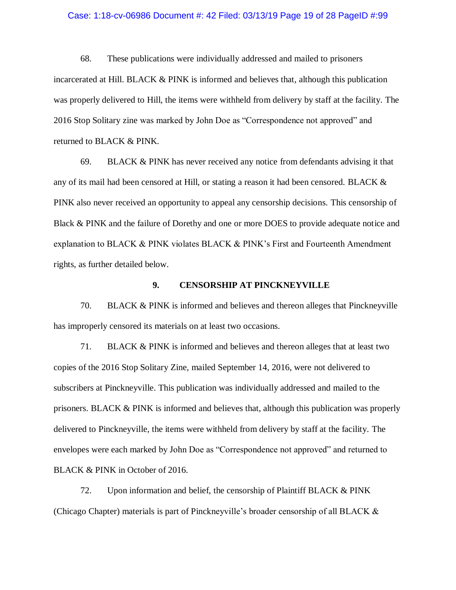#### Case: 1:18-cv-06986 Document #: 42 Filed: 03/13/19 Page 19 of 28 PageID #:99

68. These publications were individually addressed and mailed to prisoners incarcerated at Hill. BLACK & PINK is informed and believes that, although this publication was properly delivered to Hill, the items were withheld from delivery by staff at the facility. The 2016 Stop Solitary zine was marked by John Doe as "Correspondence not approved" and returned to BLACK & PINK.

69. BLACK & PINK has never received any notice from defendants advising it that any of its mail had been censored at Hill, or stating a reason it had been censored. BLACK & PINK also never received an opportunity to appeal any censorship decisions. This censorship of Black & PINK and the failure of Dorethy and one or more DOES to provide adequate notice and explanation to BLACK & PINK violates BLACK & PINK's First and Fourteenth Amendment rights, as further detailed below.

#### **9. CENSORSHIP AT PINCKNEYVILLE**

70. BLACK & PINK is informed and believes and thereon alleges that Pinckneyville has improperly censored its materials on at least two occasions.

71. BLACK & PINK is informed and believes and thereon alleges that at least two copies of the 2016 Stop Solitary Zine, mailed September 14, 2016, were not delivered to subscribers at Pinckneyville. This publication was individually addressed and mailed to the prisoners. BLACK & PINK is informed and believes that, although this publication was properly delivered to Pinckneyville, the items were withheld from delivery by staff at the facility. The envelopes were each marked by John Doe as "Correspondence not approved" and returned to BLACK & PINK in October of 2016.

72. Upon information and belief, the censorship of Plaintiff BLACK & PINK (Chicago Chapter) materials is part of Pinckneyville's broader censorship of all BLACK &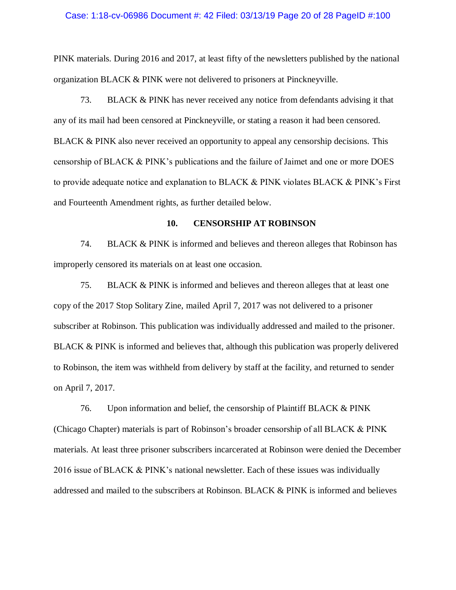#### Case: 1:18-cv-06986 Document #: 42 Filed: 03/13/19 Page 20 of 28 PageID #:100

PINK materials. During 2016 and 2017, at least fifty of the newsletters published by the national organization BLACK & PINK were not delivered to prisoners at Pinckneyville.

73. BLACK & PINK has never received any notice from defendants advising it that any of its mail had been censored at Pinckneyville, or stating a reason it had been censored. BLACK & PINK also never received an opportunity to appeal any censorship decisions. This censorship of BLACK & PINK's publications and the failure of Jaimet and one or more DOES to provide adequate notice and explanation to BLACK & PINK violates BLACK & PINK's First and Fourteenth Amendment rights, as further detailed below.

### **10. CENSORSHIP AT ROBINSON**

74. BLACK & PINK is informed and believes and thereon alleges that Robinson has improperly censored its materials on at least one occasion.

75. BLACK & PINK is informed and believes and thereon alleges that at least one copy of the 2017 Stop Solitary Zine, mailed April 7, 2017 was not delivered to a prisoner subscriber at Robinson. This publication was individually addressed and mailed to the prisoner. BLACK & PINK is informed and believes that, although this publication was properly delivered to Robinson, the item was withheld from delivery by staff at the facility, and returned to sender on April 7, 2017.

76. Upon information and belief, the censorship of Plaintiff BLACK & PINK (Chicago Chapter) materials is part of Robinson's broader censorship of all BLACK & PINK materials. At least three prisoner subscribers incarcerated at Robinson were denied the December 2016 issue of BLACK & PINK's national newsletter. Each of these issues was individually addressed and mailed to the subscribers at Robinson. BLACK & PINK is informed and believes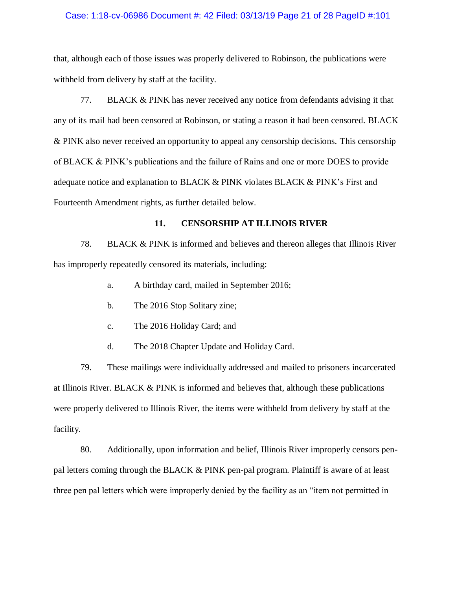#### Case: 1:18-cv-06986 Document #: 42 Filed: 03/13/19 Page 21 of 28 PageID #:101

that, although each of those issues was properly delivered to Robinson, the publications were withheld from delivery by staff at the facility.

77. BLACK & PINK has never received any notice from defendants advising it that any of its mail had been censored at Robinson, or stating a reason it had been censored. BLACK & PINK also never received an opportunity to appeal any censorship decisions. This censorship of BLACK & PINK's publications and the failure of Rains and one or more DOES to provide adequate notice and explanation to BLACK & PINK violates BLACK & PINK's First and Fourteenth Amendment rights, as further detailed below.

## **11. CENSORSHIP AT ILLINOIS RIVER**

78. BLACK & PINK is informed and believes and thereon alleges that Illinois River has improperly repeatedly censored its materials, including:

- a. A birthday card, mailed in September 2016;
- b. The 2016 Stop Solitary zine;
- c. The 2016 Holiday Card; and
- d. The 2018 Chapter Update and Holiday Card.

79. These mailings were individually addressed and mailed to prisoners incarcerated at Illinois River. BLACK & PINK is informed and believes that, although these publications were properly delivered to Illinois River, the items were withheld from delivery by staff at the facility.

80. Additionally, upon information and belief, Illinois River improperly censors penpal letters coming through the BLACK & PINK pen-pal program. Plaintiff is aware of at least three pen pal letters which were improperly denied by the facility as an "item not permitted in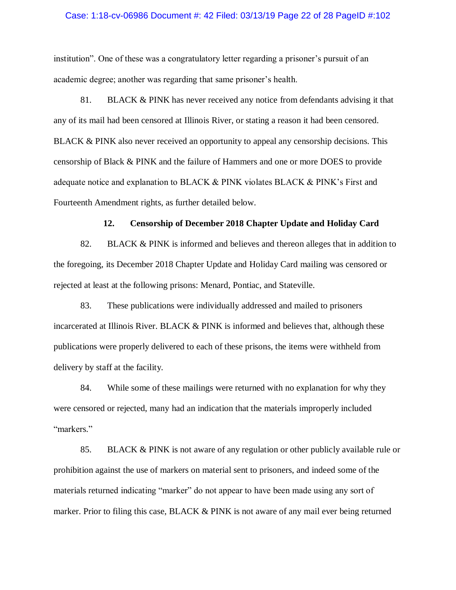#### Case: 1:18-cv-06986 Document #: 42 Filed: 03/13/19 Page 22 of 28 PageID #:102

institution". One of these was a congratulatory letter regarding a prisoner's pursuit of an academic degree; another was regarding that same prisoner's health.

81. BLACK & PINK has never received any notice from defendants advising it that any of its mail had been censored at Illinois River, or stating a reason it had been censored. BLACK & PINK also never received an opportunity to appeal any censorship decisions. This censorship of Black & PINK and the failure of Hammers and one or more DOES to provide adequate notice and explanation to BLACK & PINK violates BLACK & PINK's First and Fourteenth Amendment rights, as further detailed below.

## **12. Censorship of December 2018 Chapter Update and Holiday Card**

82. BLACK & PINK is informed and believes and thereon alleges that in addition to the foregoing, its December 2018 Chapter Update and Holiday Card mailing was censored or rejected at least at the following prisons: Menard, Pontiac, and Stateville.

83. These publications were individually addressed and mailed to prisoners incarcerated at Illinois River. BLACK & PINK is informed and believes that, although these publications were properly delivered to each of these prisons, the items were withheld from delivery by staff at the facility.

84. While some of these mailings were returned with no explanation for why they were censored or rejected, many had an indication that the materials improperly included "markers."

85. BLACK & PINK is not aware of any regulation or other publicly available rule or prohibition against the use of markers on material sent to prisoners, and indeed some of the materials returned indicating "marker" do not appear to have been made using any sort of marker. Prior to filing this case, BLACK & PINK is not aware of any mail ever being returned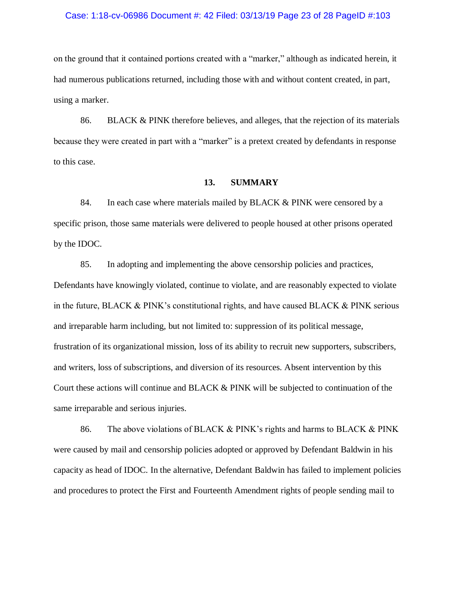#### Case: 1:18-cv-06986 Document #: 42 Filed: 03/13/19 Page 23 of 28 PageID #:103

on the ground that it contained portions created with a "marker," although as indicated herein, it had numerous publications returned, including those with and without content created, in part, using a marker.

86. BLACK & PINK therefore believes, and alleges, that the rejection of its materials because they were created in part with a "marker" is a pretext created by defendants in response to this case.

### **13. SUMMARY**

84. In each case where materials mailed by BLACK & PINK were censored by a specific prison, those same materials were delivered to people housed at other prisons operated by the IDOC.

85. In adopting and implementing the above censorship policies and practices, Defendants have knowingly violated, continue to violate, and are reasonably expected to violate in the future, BLACK & PINK's constitutional rights, and have caused BLACK & PINK serious and irreparable harm including, but not limited to: suppression of its political message, frustration of its organizational mission, loss of its ability to recruit new supporters, subscribers, and writers, loss of subscriptions, and diversion of its resources. Absent intervention by this Court these actions will continue and BLACK & PINK will be subjected to continuation of the same irreparable and serious injuries.

86. The above violations of BLACK & PINK's rights and harms to BLACK & PINK were caused by mail and censorship policies adopted or approved by Defendant Baldwin in his capacity as head of IDOC. In the alternative, Defendant Baldwin has failed to implement policies and procedures to protect the First and Fourteenth Amendment rights of people sending mail to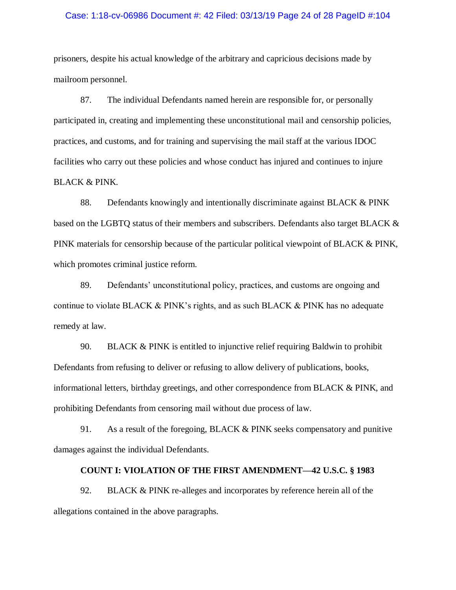#### Case: 1:18-cv-06986 Document #: 42 Filed: 03/13/19 Page 24 of 28 PageID #:104

prisoners, despite his actual knowledge of the arbitrary and capricious decisions made by mailroom personnel.

87. The individual Defendants named herein are responsible for, or personally participated in, creating and implementing these unconstitutional mail and censorship policies, practices, and customs, and for training and supervising the mail staff at the various IDOC facilities who carry out these policies and whose conduct has injured and continues to injure BLACK & PINK.

88. Defendants knowingly and intentionally discriminate against BLACK & PINK based on the LGBTQ status of their members and subscribers. Defendants also target BLACK & PINK materials for censorship because of the particular political viewpoint of BLACK & PINK, which promotes criminal justice reform.

89. Defendants' unconstitutional policy, practices, and customs are ongoing and continue to violate BLACK & PINK's rights, and as such BLACK & PINK has no adequate remedy at law.

90. BLACK & PINK is entitled to injunctive relief requiring Baldwin to prohibit Defendants from refusing to deliver or refusing to allow delivery of publications, books, informational letters, birthday greetings, and other correspondence from BLACK & PINK, and prohibiting Defendants from censoring mail without due process of law.

91. As a result of the foregoing, BLACK & PINK seeks compensatory and punitive damages against the individual Defendants.

## **COUNT I: VIOLATION OF THE FIRST AMENDMENT—42 U.S.C. § 1983**

92. BLACK & PINK re-alleges and incorporates by reference herein all of the allegations contained in the above paragraphs.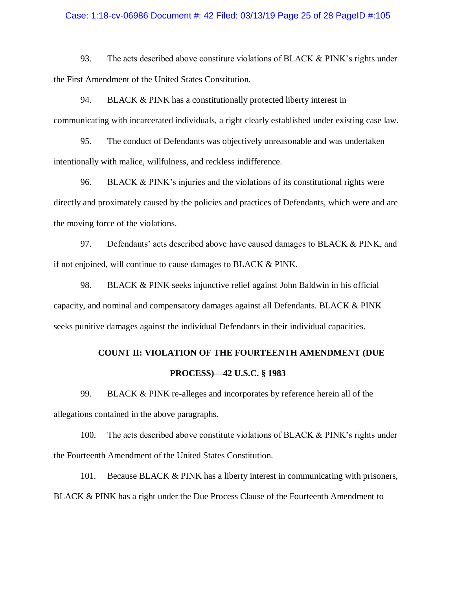### Case: 1:18-cv-06986 Document #: 42 Filed: 03/13/19 Page 25 of 28 PageID #:105

93. The acts described above constitute violations of BLACK & PINK's rights under the First Amendment of the United States Constitution.

94. BLACK & PINK has a constitutionally protected liberty interest in communicating with incarcerated individuals, a right clearly established under existing case law.

95. The conduct of Defendants was objectively unreasonable and was undertaken intentionally with malice, willfulness, and reckless indifference.

96. BLACK & PINK's injuries and the violations of its constitutional rights were directly and proximately caused by the policies and practices of Defendants, which were and are the moving force of the violations.

97. Defendants' acts described above have caused damages to BLACK & PINK, and if not enjoined, will continue to cause damages to BLACK & PINK.

98. BLACK & PINK seeks injunctive relief against John Baldwin in his official capacity, and nominal and compensatory damages against all Defendants. BLACK & PINK seeks punitive damages against the individual Defendants in their individual capacities.

# **COUNT II: VIOLATION OF THE FOURTEENTH AMENDMENT (DUE PROCESS)—42 U.S.C. § 1983**

99. BLACK & PINK re-alleges and incorporates by reference herein all of the allegations contained in the above paragraphs.

100. The acts described above constitute violations of BLACK & PINK's rights under the Fourteenth Amendment of the United States Constitution.

101. Because BLACK & PINK has a liberty interest in communicating with prisoners, BLACK & PINK has a right under the Due Process Clause of the Fourteenth Amendment to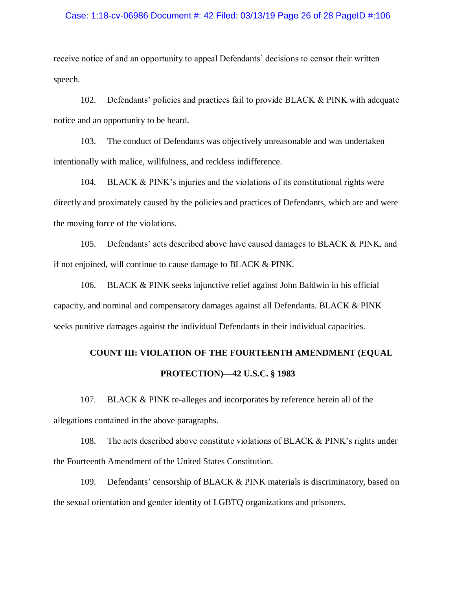#### Case: 1:18-cv-06986 Document #: 42 Filed: 03/13/19 Page 26 of 28 PageID #:106

receive notice of and an opportunity to appeal Defendants' decisions to censor their written speech.

102. Defendants' policies and practices fail to provide BLACK & PINK with adequate notice and an opportunity to be heard.

103. The conduct of Defendants was objectively unreasonable and was undertaken intentionally with malice, willfulness, and reckless indifference.

104. BLACK & PINK's injuries and the violations of its constitutional rights were directly and proximately caused by the policies and practices of Defendants, which are and were the moving force of the violations.

105. Defendants' acts described above have caused damages to BLACK & PINK, and if not enjoined, will continue to cause damage to BLACK & PINK.

106. BLACK & PINK seeks injunctive relief against John Baldwin in his official capacity, and nominal and compensatory damages against all Defendants. BLACK & PINK seeks punitive damages against the individual Defendants in their individual capacities.

# **COUNT III: VIOLATION OF THE FOURTEENTH AMENDMENT (EQUAL PROTECTION)—42 U.S.C. § 1983**

107. BLACK & PINK re-alleges and incorporates by reference herein all of the allegations contained in the above paragraphs.

108. The acts described above constitute violations of BLACK & PINK's rights under the Fourteenth Amendment of the United States Constitution.

109. Defendants' censorship of BLACK & PINK materials is discriminatory, based on the sexual orientation and gender identity of LGBTQ organizations and prisoners.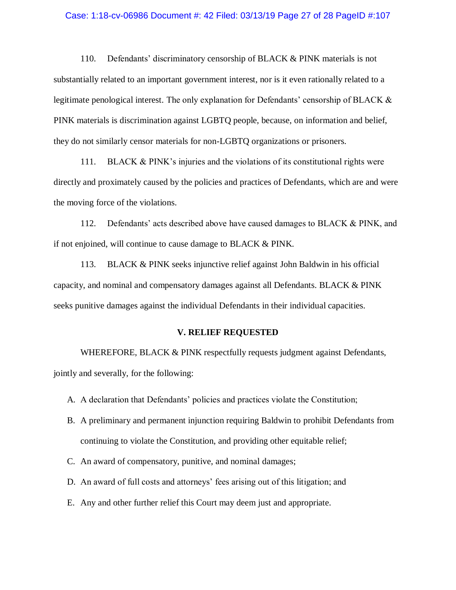#### Case: 1:18-cv-06986 Document #: 42 Filed: 03/13/19 Page 27 of 28 PageID #:107

110. Defendants' discriminatory censorship of BLACK & PINK materials is not substantially related to an important government interest, nor is it even rationally related to a legitimate penological interest. The only explanation for Defendants' censorship of BLACK & PINK materials is discrimination against LGBTQ people, because, on information and belief, they do not similarly censor materials for non-LGBTQ organizations or prisoners.

111. BLACK & PINK's injuries and the violations of its constitutional rights were directly and proximately caused by the policies and practices of Defendants, which are and were the moving force of the violations.

112. Defendants' acts described above have caused damages to BLACK & PINK, and if not enjoined, will continue to cause damage to BLACK & PINK.

113. BLACK & PINK seeks injunctive relief against John Baldwin in his official capacity, and nominal and compensatory damages against all Defendants. BLACK & PINK seeks punitive damages against the individual Defendants in their individual capacities.

#### **V. RELIEF REQUESTED**

WHEREFORE, BLACK & PINK respectfully requests judgment against Defendants, jointly and severally, for the following:

- A. A declaration that Defendants' policies and practices violate the Constitution;
- B. A preliminary and permanent injunction requiring Baldwin to prohibit Defendants from continuing to violate the Constitution, and providing other equitable relief;
- C. An award of compensatory, punitive, and nominal damages;
- D. An award of full costs and attorneys' fees arising out of this litigation; and
- E. Any and other further relief this Court may deem just and appropriate.